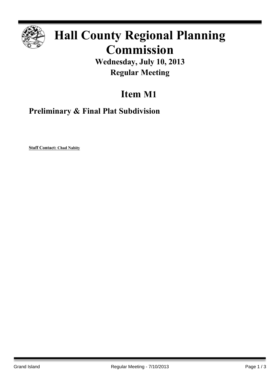

## **Hall County Regional Planning Commission**

**Wednesday, July 10, 2013 Regular Meeting**

## **Item M1**

**Preliminary & Final Plat Subdivision**

**Staff Contact: Chad Nabity**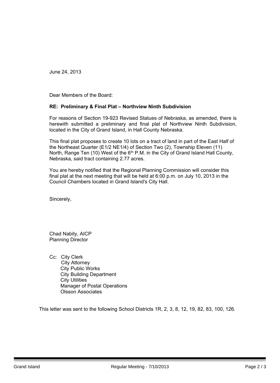June 24, 2013

Dear Members of the Board:

## **RE: Preliminary & Final Plat – Northview Ninth Subdivision**

For reasons of Section 19-923 Revised Statues of Nebraska, as amended, there is herewith submitted a preliminary and final plat of Northview Ninth Subdivision, located in the City of Grand Island, in Hall County Nebraska.

This final plat proposes to create 10 lots on a tract of land in part of the East Half of the Northeast Quarter (E1/2 NE1/4) of Section Two (2), Township Eleven (11) North, Range Ten (10) West of the 6<sup>th</sup> P.M. in the City of Grand Island Hall County, Nebraska, said tract containing 2.77 acres.

You are hereby notified that the Regional Planning Commission will consider this final plat at the next meeting that will be held at 6:00 p.m. on July 10, 2013 in the Council Chambers located in Grand Island's City Hall.

Sincerely,

Chad Nabity, AICP Planning Director

Cc: City Clerk City Attorney City Public Works City Building Department City Utilities Manager of Postal Operations Olsson Associates

This letter was sent to the following School Districts 1R, 2, 3, 8, 12, 19, 82, 83, 100, 126.